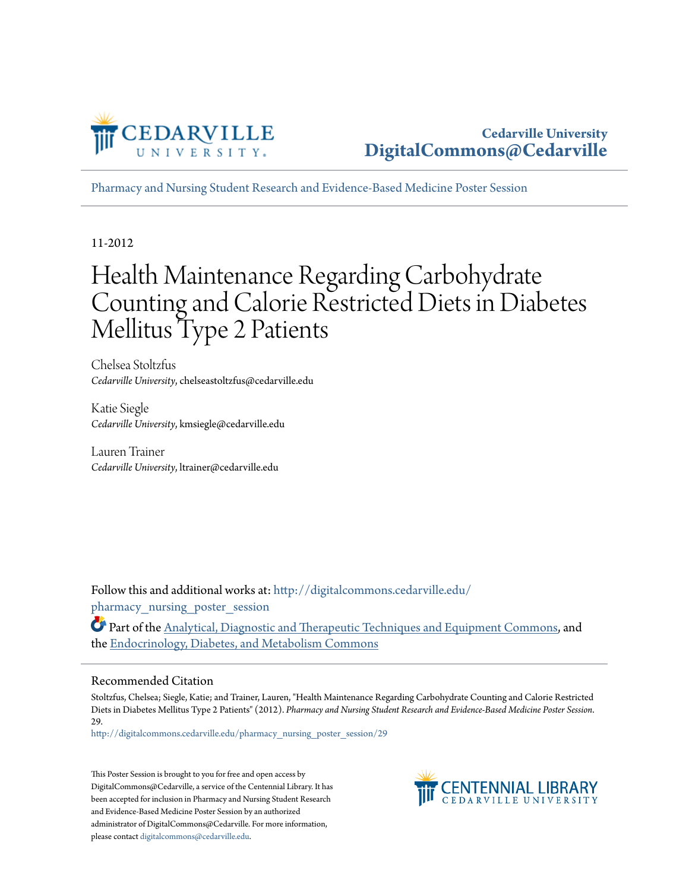

**Cedarville University [DigitalCommons@Cedarville](http://digitalcommons.cedarville.edu?utm_source=digitalcommons.cedarville.edu%2Fpharmacy_nursing_poster_session%2F29&utm_medium=PDF&utm_campaign=PDFCoverPages)**

[Pharmacy and Nursing Student Research and Evidence-Based Medicine Poster Session](http://digitalcommons.cedarville.edu/pharmacy_nursing_poster_session?utm_source=digitalcommons.cedarville.edu%2Fpharmacy_nursing_poster_session%2F29&utm_medium=PDF&utm_campaign=PDFCoverPages)

11-2012

#### Health Maintenance Regarding Carbohydrate Counting and Calorie Restricted Diets in Diabetes Mellitus Type 2 Patients

Chelsea Stoltzfus *Cedarville University*, chelseastoltzfus@cedarville.edu

Katie Siegle *Cedarville University*, kmsiegle@cedarville.edu

Lauren Trainer *Cedarville University*, ltrainer@cedarville.edu

Follow this and additional works at: [http://digitalcommons.cedarville.edu/](http://digitalcommons.cedarville.edu/pharmacy_nursing_poster_session?utm_source=digitalcommons.cedarville.edu%2Fpharmacy_nursing_poster_session%2F29&utm_medium=PDF&utm_campaign=PDFCoverPages) pharmacy nursing poster session

Part of the [Analytical, Diagnostic and Therapeutic Techniques and Equipment Commons,](http://network.bepress.com/hgg/discipline/899?utm_source=digitalcommons.cedarville.edu%2Fpharmacy_nursing_poster_session%2F29&utm_medium=PDF&utm_campaign=PDFCoverPages) and the [Endocrinology, Diabetes, and Metabolism Commons](http://network.bepress.com/hgg/discipline/686?utm_source=digitalcommons.cedarville.edu%2Fpharmacy_nursing_poster_session%2F29&utm_medium=PDF&utm_campaign=PDFCoverPages)

#### Recommended Citation

Stoltzfus, Chelsea; Siegle, Katie; and Trainer, Lauren, "Health Maintenance Regarding Carbohydrate Counting and Calorie Restricted Diets in Diabetes Mellitus Type 2 Patients" (2012). *Pharmacy and Nursing Student Research and Evidence-Based Medicine Poster Session*. 29.

[http://digitalcommons.cedarville.edu/pharmacy\\_nursing\\_poster\\_session/29](http://digitalcommons.cedarville.edu/pharmacy_nursing_poster_session/29?utm_source=digitalcommons.cedarville.edu%2Fpharmacy_nursing_poster_session%2F29&utm_medium=PDF&utm_campaign=PDFCoverPages)

This Poster Session is brought to you for free and open access by DigitalCommons@Cedarville, a service of the Centennial Library. It has been accepted for inclusion in Pharmacy and Nursing Student Research and Evidence-Based Medicine Poster Session by an authorized administrator of DigitalCommons@Cedarville. For more information, please contact [digitalcommons@cedarville.edu.](mailto:digitalcommons@cedarville.edu)